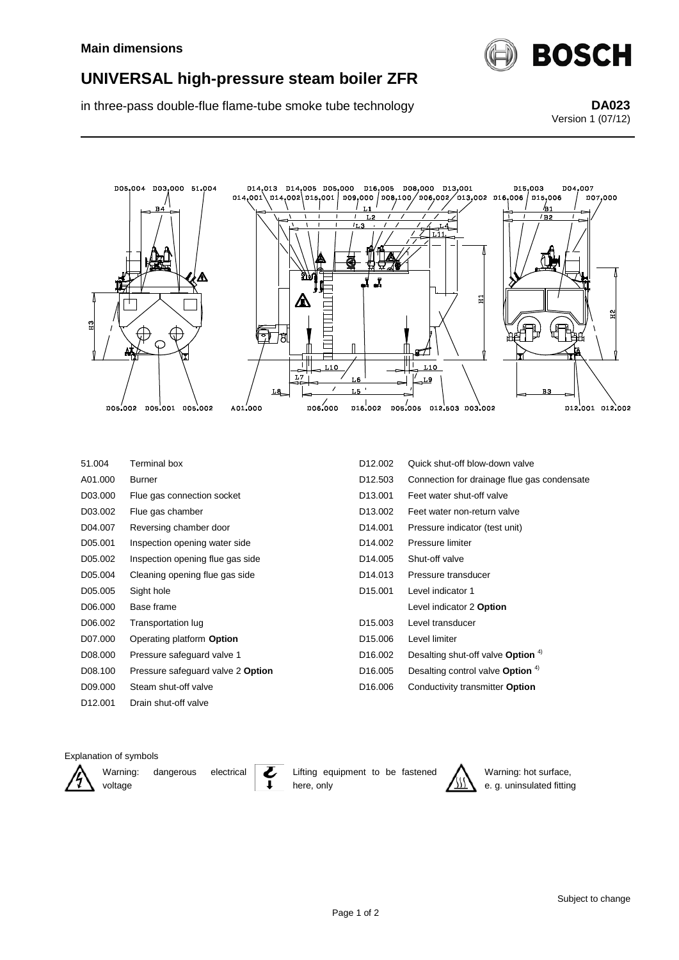

## **UNIVERSAL high-pressure steam boiler ZFR**

in three-pass double-flue flame-tube smoke tube technology **DA023**

Version 1 (07/12)



| 51.004              | Terminal box                      | D <sub>12.002</sub>  | Quick shut-off blow-down valve                |
|---------------------|-----------------------------------|----------------------|-----------------------------------------------|
| A01.000             | Burner                            | D <sub>12.503</sub>  | Connection for drainage flue gas condensate   |
| D03.000             | Flue gas connection socket        | D <sub>13</sub> ,001 | Feet water shut-off valve                     |
| D03.002             | Flue gas chamber                  | D <sub>13.002</sub>  | Feet water non-return valve                   |
| D04.007             | Reversing chamber door            | D <sub>14.001</sub>  | Pressure indicator (test unit)                |
| D05.001             | Inspection opening water side     | D <sub>14.002</sub>  | Pressure limiter                              |
| D05.002             | Inspection opening flue gas side  | D <sub>14.005</sub>  | Shut-off valve                                |
| D05.004             | Cleaning opening flue gas side    | D <sub>14.013</sub>  | Pressure transducer                           |
| D05.005             | Sight hole                        | D <sub>15.001</sub>  | Level indicator 1                             |
| D06.000             | Base frame                        |                      | Level indicator 2 Option                      |
| D06.002             | Transportation lug                | D <sub>15</sub> ,003 | Level transducer                              |
| D07.000             | Operating platform Option         | D <sub>15.006</sub>  | Level limiter                                 |
| D08.000             | Pressure safeguard valve 1        | D <sub>16</sub> .002 | Desalting shut-off valve Option <sup>4)</sup> |
| D08.100             | Pressure safeguard valve 2 Option | D <sub>16.005</sub>  | Desalting control valve Option $4$ )          |
| D09.000             | Steam shut-off valve              | D <sub>16</sub> ,006 | Conductivity transmitter Option               |
| D <sub>12.001</sub> | Drain shut-off valve              |                      |                                               |

## Explanation of symbols

voltage



Warning: dangerous electrical



Lifting equipment to be fastened here, only



Warning: hot surface, e. g. uninsulated fitting